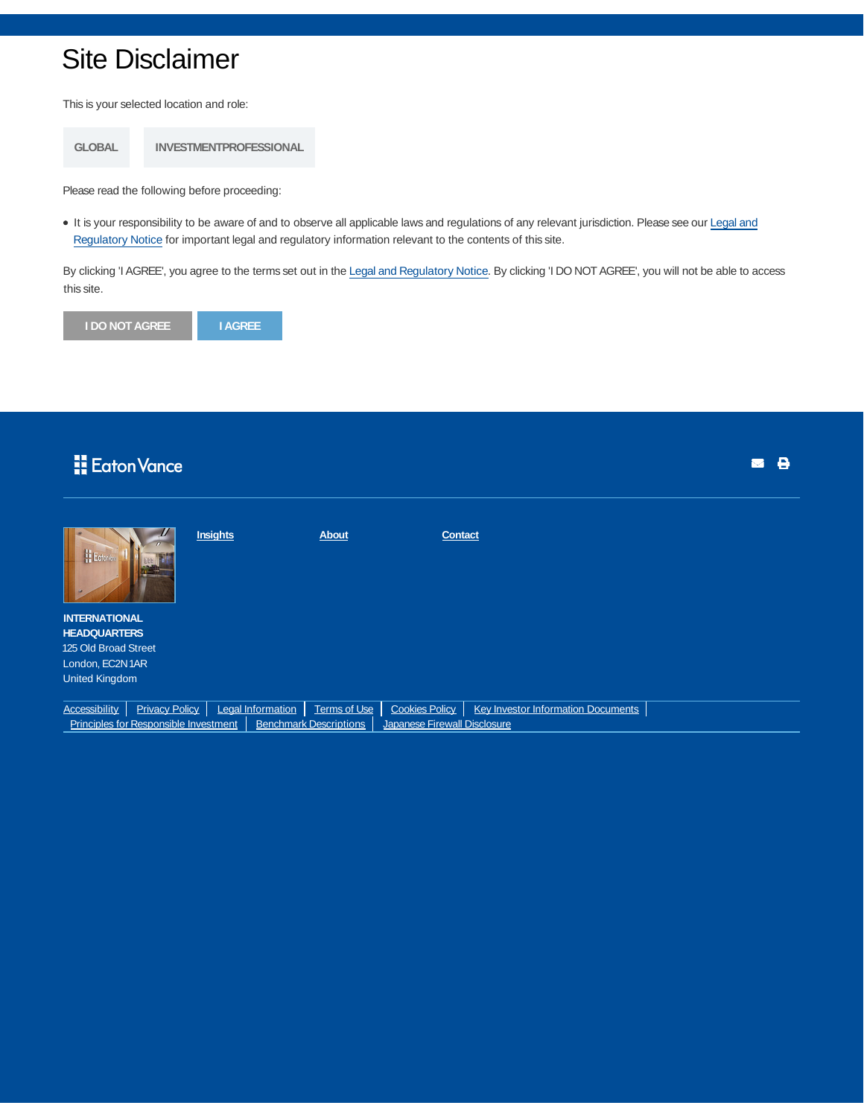## Site Disclaimer

This is your selected location and role:

**GLOBAL INVESTMENTPROFESSIONAL**

Please read the following before proceeding:

It is your responsibility to be aware of and to observe all applicable laws and regulations of any relevant jurisdiction. Please see our Legal and Regulatory Notice for important legal and regulatory information relevant to the contents of this site.

By clicking 'I AGREE', you agree to the terms set out in the Legal and Regulatory Notice. By clicking 'I DO NOT AGREE', you will not be able to access this site.



## **H** Eaton Vance

| <b>H</b> Ecteri                                                                                        |                       | Insights          | <b>About</b> | <b>Contact</b>        |                                           |  |
|--------------------------------------------------------------------------------------------------------|-----------------------|-------------------|--------------|-----------------------|-------------------------------------------|--|
| <b>INTERNATIONAL</b>                                                                                   |                       |                   |              |                       |                                           |  |
| <b>HEADQUARTERS</b>                                                                                    |                       |                   |              |                       |                                           |  |
| 125 Old Broad Street                                                                                   |                       |                   |              |                       |                                           |  |
| London, EC2N1AR                                                                                        |                       |                   |              |                       |                                           |  |
| <b>United Kingdom</b>                                                                                  |                       |                   |              |                       |                                           |  |
|                                                                                                        |                       |                   |              |                       |                                           |  |
| <b>Accessibility</b>                                                                                   | <b>Privacy Policy</b> | Legal Information | Terms of Use | <b>Cookies Policy</b> | <b>Key Investor Information Documents</b> |  |
| Principles for Responsible Investment<br><b>Benchmark Descriptions</b><br>Japanese Firewall Disclosure |                       |                   |              |                       |                                           |  |

 $\blacksquare$   $\blacksquare$